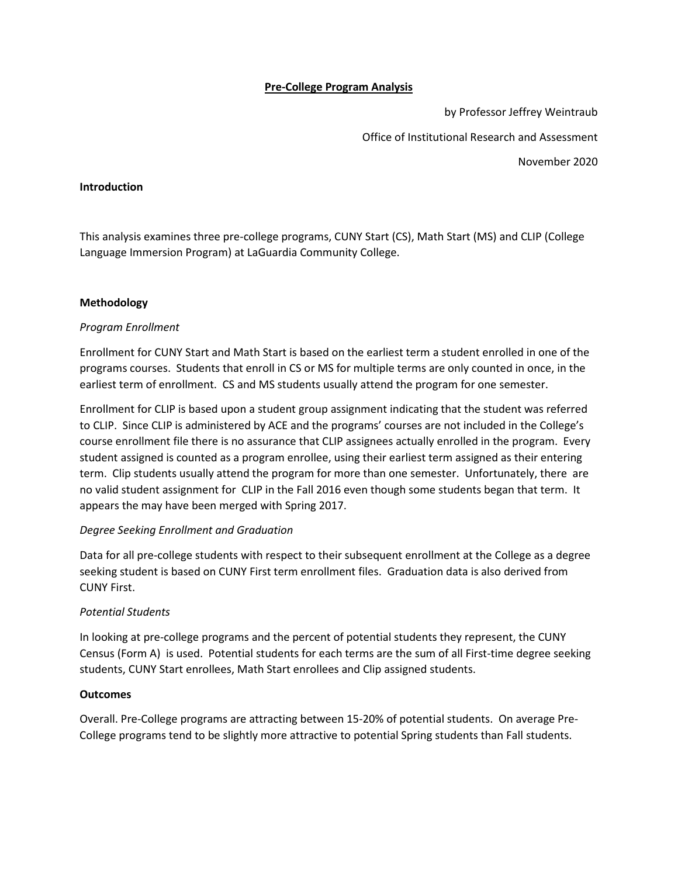# **Pre-College Program Analysis**

by Professor Jeffrey Weintraub Office of Institutional Research and Assessment November 2020

### **Introduction**

This analysis examines three pre-college programs, CUNY Start (CS), Math Start (MS) and CLIP (College Language Immersion Program) at LaGuardia Community College.

### **Methodology**

### *Program Enrollment*

Enrollment for CUNY Start and Math Start is based on the earliest term a student enrolled in one of the programs courses. Students that enroll in CS or MS for multiple terms are only counted in once, in the earliest term of enrollment. CS and MS students usually attend the program for one semester.

Enrollment for CLIP is based upon a student group assignment indicating that the student was referred to CLIP. Since CLIP is administered by ACE and the programs' courses are not included in the College's course enrollment file there is no assurance that CLIP assignees actually enrolled in the program. Every student assigned is counted as a program enrollee, using their earliest term assigned as their entering term. Clip students usually attend the program for more than one semester. Unfortunately, there are no valid student assignment for CLIP in the Fall 2016 even though some students began that term. It appears the may have been merged with Spring 2017.

### *Degree Seeking Enrollment and Graduation*

Data for all pre-college students with respect to their subsequent enrollment at the College as a degree seeking student is based on CUNY First term enrollment files. Graduation data is also derived from CUNY First.

### *Potential Students*

In looking at pre-college programs and the percent of potential students they represent, the CUNY Census (Form A) is used. Potential students for each terms are the sum of all First-time degree seeking students, CUNY Start enrollees, Math Start enrollees and Clip assigned students.

### **Outcomes**

Overall. Pre-College programs are attracting between 15-20% of potential students. On average Pre-College programs tend to be slightly more attractive to potential Spring students than Fall students.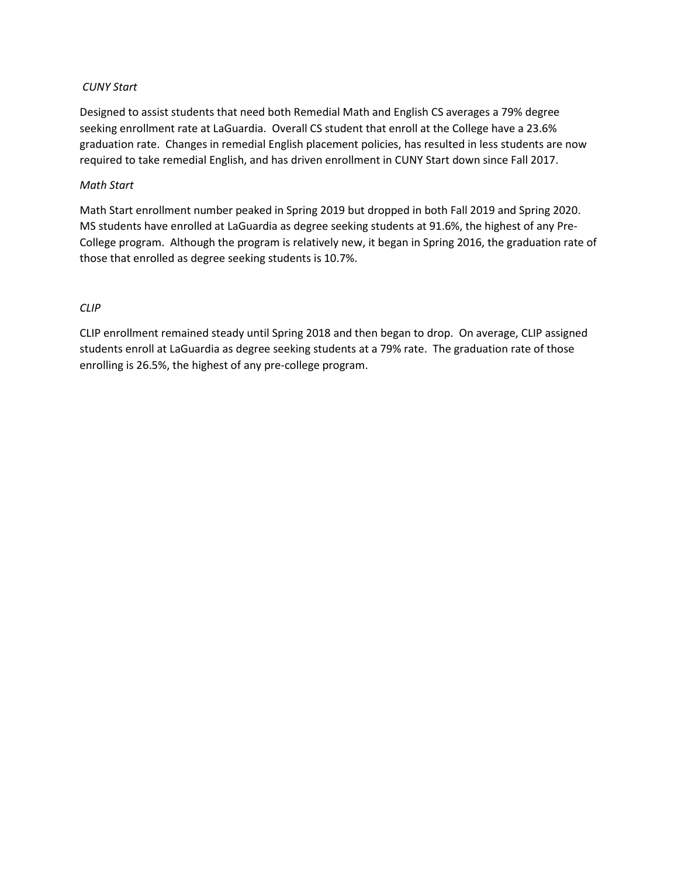# *CUNY Start*

Designed to assist students that need both Remedial Math and English CS averages a 79% degree seeking enrollment rate at LaGuardia. Overall CS student that enroll at the College have a 23.6% graduation rate. Changes in remedial English placement policies, has resulted in less students are now required to take remedial English, and has driven enrollment in CUNY Start down since Fall 2017.

# *Math Start*

Math Start enrollment number peaked in Spring 2019 but dropped in both Fall 2019 and Spring 2020. MS students have enrolled at LaGuardia as degree seeking students at 91.6%, the highest of any Pre-College program. Although the program is relatively new, it began in Spring 2016, the graduation rate of those that enrolled as degree seeking students is 10.7%.

# *CLIP*

CLIP enrollment remained steady until Spring 2018 and then began to drop. On average, CLIP assigned students enroll at LaGuardia as degree seeking students at a 79% rate. The graduation rate of those enrolling is 26.5%, the highest of any pre-college program.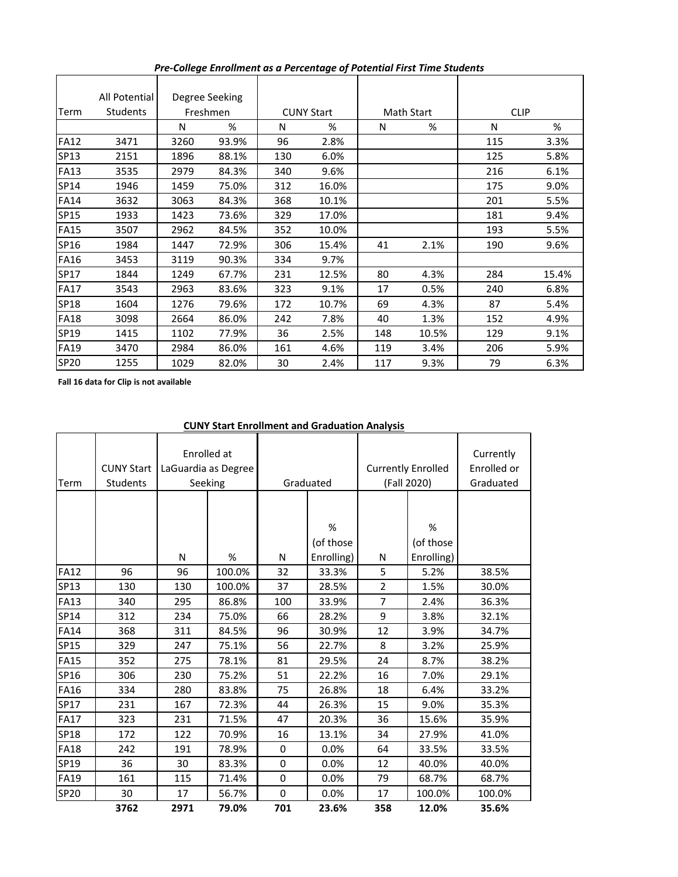|             | All Potential   | Degree Seeking |       |                   |       |                   |       |             |       |
|-------------|-----------------|----------------|-------|-------------------|-------|-------------------|-------|-------------|-------|
| Term        | <b>Students</b> | Freshmen       |       | <b>CUNY Start</b> |       | <b>Math Start</b> |       | <b>CLIP</b> |       |
|             |                 | Ν              | %     | N                 | %     | N                 | %     | N           | %     |
| <b>FA12</b> | 3471            | 3260           | 93.9% | 96                | 2.8%  |                   |       | 115         | 3.3%  |
| SP13        | 2151            | 1896           | 88.1% | 130               | 6.0%  |                   |       | 125         | 5.8%  |
| <b>FA13</b> | 3535            | 2979           | 84.3% | 340               | 9.6%  |                   |       | 216         | 6.1%  |
| SP14        | 1946            | 1459           | 75.0% | 312               | 16.0% |                   |       | 175         | 9.0%  |
| <b>FA14</b> | 3632            | 3063           | 84.3% | 368               | 10.1% |                   |       | 201         | 5.5%  |
| <b>SP15</b> | 1933            | 1423           | 73.6% | 329               | 17.0% |                   |       | 181         | 9.4%  |
| <b>FA15</b> | 3507            | 2962           | 84.5% | 352               | 10.0% |                   |       | 193         | 5.5%  |
| SP16        | 1984            | 1447           | 72.9% | 306               | 15.4% | 41                | 2.1%  | 190         | 9.6%  |
| <b>FA16</b> | 3453            | 3119           | 90.3% | 334               | 9.7%  |                   |       |             |       |
| SP17        | 1844            | 1249           | 67.7% | 231               | 12.5% | 80                | 4.3%  | 284         | 15.4% |
| <b>FA17</b> | 3543            | 2963           | 83.6% | 323               | 9.1%  | 17                | 0.5%  | 240         | 6.8%  |
| SP18        | 1604            | 1276           | 79.6% | 172               | 10.7% | 69                | 4.3%  | 87          | 5.4%  |
| <b>FA18</b> | 3098            | 2664           | 86.0% | 242               | 7.8%  | 40                | 1.3%  | 152         | 4.9%  |
| SP19        | 1415            | 1102           | 77.9% | 36                | 2.5%  | 148               | 10.5% | 129         | 9.1%  |
| <b>FA19</b> | 3470            | 2984           | 86.0% | 161               | 4.6%  | 119               | 3.4%  | 206         | 5.9%  |
| <b>SP20</b> | 1255            | 1029           | 82.0% | 30                | 2.4%  | 117               | 9.3%  | 79          | 6.3%  |

*Pre-College Enrollment as a Percentage of Potential First Time Students*

**Fall 16 data for Clip is not available** 

# **CUNY Start Enrollment and Graduation Analysis**

| Term        | <b>CUNY Start</b><br>Students |      | Enrolled at<br>LaGuardia as Degree<br>Seeking | Graduated |            | <b>Currently Enrolled</b><br>(Fall 2020) |            | Currently<br>Enrolled or<br>Graduated |
|-------------|-------------------------------|------|-----------------------------------------------|-----------|------------|------------------------------------------|------------|---------------------------------------|
|             |                               |      |                                               |           |            |                                          |            |                                       |
|             |                               |      |                                               |           |            |                                          |            |                                       |
|             |                               |      |                                               |           | %          |                                          | %          |                                       |
|             |                               |      |                                               |           | (of those  |                                          | (of those  |                                       |
|             |                               | N    | %                                             | N         | Enrolling) | N                                        | Enrolling) |                                       |
| <b>FA12</b> | 96                            | 96   | 100.0%                                        | 32        | 33.3%      | 5                                        | 5.2%       | 38.5%                                 |
| SP13        | 130                           | 130  | 100.0%                                        | 37        | 28.5%      | $\overline{2}$                           | 1.5%       | 30.0%                                 |
| <b>FA13</b> | 340                           | 295  | 86.8%                                         | 100       | 33.9%      | $\overline{7}$                           | 2.4%       | 36.3%                                 |
| SP14        | 312                           | 234  | 75.0%                                         | 66        | 28.2%      | 9                                        | 3.8%       | 32.1%                                 |
| <b>FA14</b> | 368                           | 311  | 84.5%                                         | 96        | 30.9%      | 12                                       | 3.9%       | 34.7%                                 |
| SP15        | 329                           | 247  | 75.1%                                         | 56        | 22.7%      | 8                                        | 3.2%       | 25.9%                                 |
| <b>FA15</b> | 352                           | 275  | 78.1%                                         | 81        | 29.5%      | 24                                       | 8.7%       | 38.2%                                 |
| SP16        | 306                           | 230  | 75.2%                                         | 51        | 22.2%      | 16                                       | 7.0%       | 29.1%                                 |
| <b>FA16</b> | 334                           | 280  | 83.8%                                         | 75        | 26.8%      | 18                                       | 6.4%       | 33.2%                                 |
| SP17        | 231                           | 167  | 72.3%                                         | 44        | 26.3%      | 15                                       | 9.0%       | 35.3%                                 |
| <b>FA17</b> | 323                           | 231  | 71.5%                                         | 47        | 20.3%      | 36                                       | 15.6%      | 35.9%                                 |
| SP18        | 172                           | 122  | 70.9%                                         | 16        | 13.1%      | 34                                       | 27.9%      | 41.0%                                 |
| <b>FA18</b> | 242                           | 191  | 78.9%                                         | 0         | 0.0%       | 64                                       | 33.5%      | 33.5%                                 |
| SP19        | 36                            | 30   | 83.3%                                         | 0         | 0.0%       | 12                                       | 40.0%      | 40.0%                                 |
| <b>FA19</b> | 161                           | 115  | 71.4%                                         | 0         | 0.0%       | 79                                       | 68.7%      | 68.7%                                 |
| SP20        | 30                            | 17   | 56.7%                                         | $\Omega$  | 0.0%       | 17                                       | 100.0%     | 100.0%                                |
|             | 3762                          | 2971 | 79.0%                                         | 701       | 23.6%      | 358                                      | 12.0%      | 35.6%                                 |